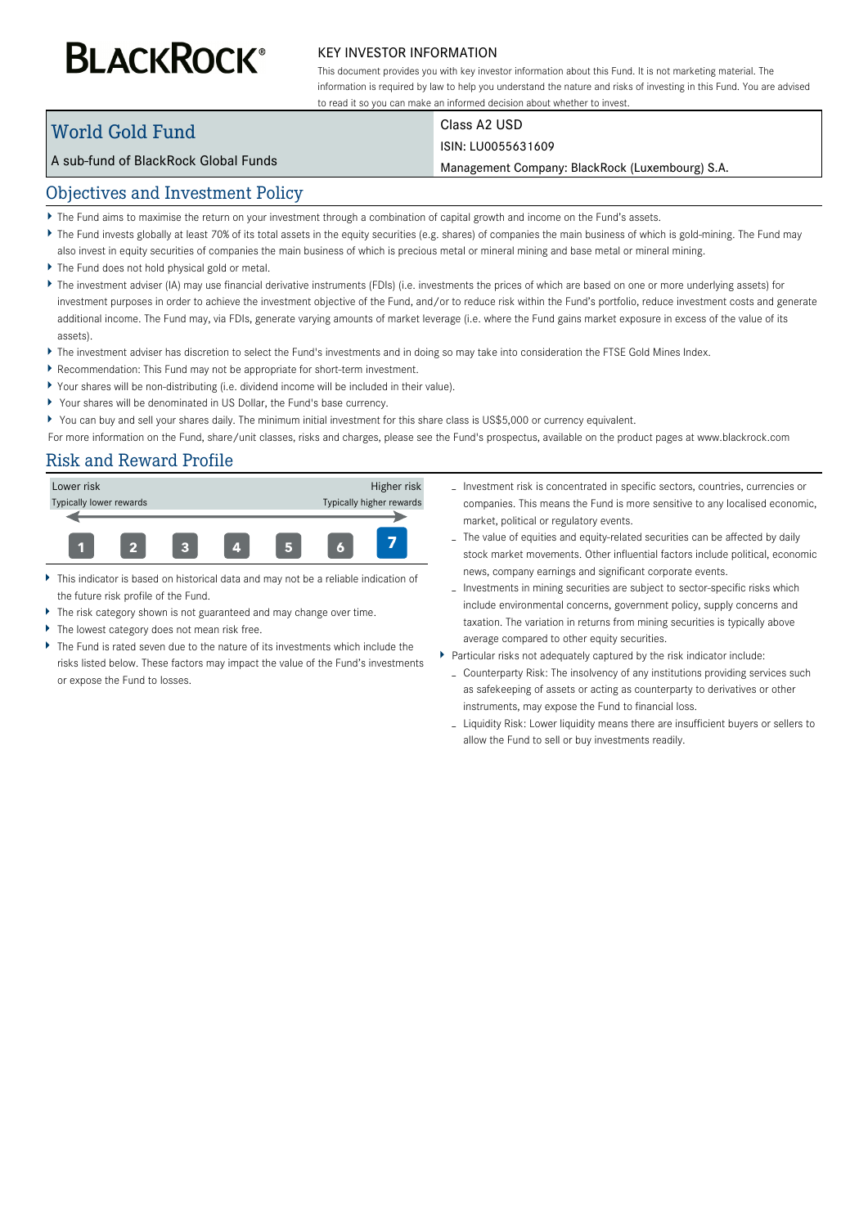# **BLACKROCK®**

#### KEY INVESTOR INFORMATION

This document provides you with key investor information about this Fund. It is not marketing material. The information is required by law to help you understand the nature and risks of investing in this Fund. You are advised to read it so you can make an informed decision about whether to invest.

# World Gold Fund

Class A2 USD

## ISIN: LU0055631609

Management Company: BlackRock (Luxembourg) S.A.

# Objectives and Investment Policy

A sub-fund of BlackRock Global Funds

- The Fund aims to maximise the return on your investment through a combination of capital growth and income on the Fund's assets.
- ▶ The Fund invests globally at least 70% of its total assets in the equity securities (e.g. shares) of companies the main business of which is gold-mining. The Fund may
- also invest in equity securities of companies the main business of which is precious metal or mineral mining and base metal or mineral mining.
- The Fund does not hold physical gold or metal.
- ▶ The investment adviser (IA) may use financial derivative instruments (FDIs) (i.e. investments the prices of which are based on one or more underlying assets) for investment purposes in order to achieve the investment objective of the Fund, and/or to reduce risk within the Fund's portfolio, reduce investment costs and generate additional income. The Fund may, via FDIs, generate varying amounts of market leverage (i.e. where the Fund gains market exposure in excess of the value of its assets).
- ▶ The investment adviser has discretion to select the Fund's investments and in doing so may take into consideration the FTSE Gold Mines Index.
- Recommendation: This Fund may not be appropriate for short-term investment.
- Your shares will be non-distributing (i.e. dividend income will be included in their value).
- Your shares will be denominated in US Dollar, the Fund's base currency.
- You can buy and sell your shares daily. The minimum initial investment for this share class is US\$5,000 or currency equivalent.

For more information on the Fund, share/unit classes, risks and charges, please see the Fund's prospectus, available on the product pages at www.blackrock.com

# Risk and Reward Profile



- This indicator is based on historical data and may not be a reliable indication of the future risk profile of the Fund.
- The risk category shown is not guaranteed and may change over time.
- The lowest category does not mean risk free.
- The Fund is rated seven due to the nature of its investments which include the risks listed below. These factors may impact the value of the Fund's investments or expose the Fund to losses.
- Investment risk is concentrated in specific sectors, countries, currencies or companies. This means the Fund is more sensitive to any localised economic, market, political or regulatory events.
- The value of equities and equity-related securities can be affected by daily stock market movements. Other influential factors include political, economic news, company earnings and significant corporate events.
- Investments in mining securities are subject to sector-specific risks which include environmental concerns, government policy, supply concerns and taxation. The variation in returns from mining securities is typically above average compared to other equity securities.
- Particular risks not adequately captured by the risk indicator include:
	- Counterparty Risk: The insolvency of any institutions providing services such as safekeeping of assets or acting as counterparty to derivatives or other instruments, may expose the Fund to financial loss.
	- Liquidity Risk: Lower liquidity means there are insufficient buyers or sellers to allow the Fund to sell or buy investments readily.